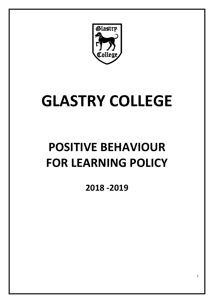

# **GLASTRY COLLEGE**

## **POSITIVE BEHAVIOUR FOR LEARNING POLICY**

**2018 -2019**

1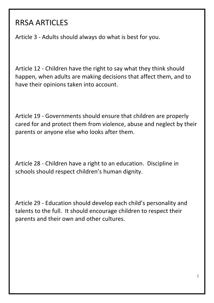## RRSA ARTICLES

Article 3 - Adults should always do what is best for you.

Article 12 - Children have the right to say what they think should happen, when adults are making decisions that affect them, and to have their opinions taken into account.

Article 19 - Governments should ensure that children are properly cared for and protect them from violence, abuse and neglect by their parents or anyone else who looks after them.

Article 28 - Children have a right to an education. Discipline in schools should respect children's human dignity.

Article 29 - Education should develop each child's personality and talents to the full. It should encourage children to respect their parents and their own and other cultures.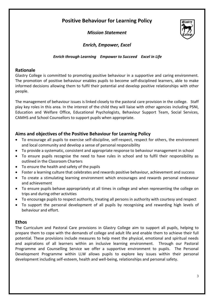## **Positive Behaviour for Learning Policy**

*Mission Statement*



## *Enrich, Empower, Excel*

#### *Enrich through Learning Empower to Succeed Excel in Life*

#### **Rationale**

Glastry College is committed to promoting positive behaviour in a supportive and caring environment. The promotion of positive behaviour enables pupils to become self-disciplined learners, able to make informed decisions allowing them to fulfil their potential and develop positive relationships with other people.

The management of behaviour issues is linked closely to the pastoral care provision in the college. Staff play key roles in this area. In the interest of the child they will liaise with other agencies including PSNI, Education and Welfare Office, Educational Psychologists, Behaviour Support Team, Social Services, CAMHS and School Counsellors to support pupils when appropriate.

#### **Aims and objectives of the Positive Behaviour for Learning Policy**

- To encourage all pupils to exercise self-discipline, self-respect, respect for others, the environment and local community and develop a sense of personal responsibility
- To provide a systematic, consistent and appropriate response to behaviour management in school
- To ensure pupils recognise the need to have rules in school and to fulfil their responsibility as outlined in the Classroom Charters
- To ensure the health and safety of the pupils
- Foster a learning culture that celebrates and rewards positive behaviour, achievement and success
- To create a stimulating learning environment which encourages and rewards personal endeavour and achievement
- To ensure pupils behave appropriately at all times in college and when representing the college on trips and during other activities
- To encourage pupils to respect authority, treating all persons in authority with courtesy and respect
- To support the personal development of all pupils by recognising and rewarding high levels of behaviour and effort.

#### **Ethos**

The Curriculum and Pastoral Care provisions in Glastry College aim to support all pupils, helping to prepare them to cope with the demands of college and adult life and enable them to achieve their full potential. These provisions include measures to help meet the physical, emotional and spiritual needs and aspirations of all learners within an inclusive learning environment. Through our Pastoral Programme and Counselling Service we offer a supportive environment to pupils. The Personal Development Programme within LLW allows pupils to explore key issues within their personal development including self-esteem, health and well-being, relationships and personal safety.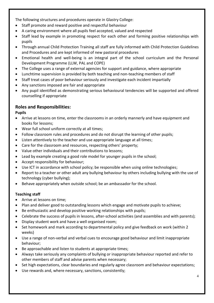The following structures and procedures operate in Glastry College:

- Staff promote and reward positive and respectful behaviour
- A caring environment where all pupils feel accepted, valued and respected
- Staff lead by example in promoting respect for each other and forming positive relationships with pupils
- Through annual Child Protection Training all staff are fully informed with Child Protection Guidelines and Procedures and are kept informed of new pastoral procedures
- Emotional health and well-being is an integral part of the school curriculum and the Personal Development Programme (LLW, PAL and COPE)
- The College uses a range of external agencies for support and guidance, where appropriate
- Lunchtime supervision is provided by both teaching and non-teaching members of staff
- Staff treat cases of poor behaviour seriously and investigate each incident impartially
- Any sanctions imposed are fair and appropriate
- Any pupil identified as demonstrating serious behavioural tendencies will be supported and offered counselling if appropriate

## **Roles and Responsibilities:**

#### **Pupils**

- Arrive at lessons on time, enter the classrooms in an orderly mannerly and have equipment and books for lessons;
- Wear full school uniform correctly at all times;
- Follow classroom rules and procedures and do not disrupt the learning of other pupils;
- Listen attentively to the teacher and use appropriate language at all times;
- Care for the classroom and resources, respecting others' property;
- Value other individuals and their contributions to lessons;
- Lead by example creating a good role model for younger pupils in the school;
- Accept responsibility for behaviour;
- Use ICT in accordance with school policy; be responsible when using online technologies;
- Report to a teacher or other adult any bullying behaviour by others including bullying with the use of technology (cyber bullying);
- Behave appropriately when outside school; be an ambassador for the school.

#### **Teaching staff**

- Arrive at lessons on time;
- Plan and deliver good to outstanding lessons which engage and motivate pupils to achieve;
- Be enthusiastic and develop positive working relationships with pupils;
- Celebrate the success of pupils in lessons, after-school activities (and assemblies and with parents);
- Display student work and have a well organised room;
- Set homework and mark according to departmental policy and give feedback on work (within 2 weeks)
- Use a range of non-verbal and verbal cues to encourage good behaviour and limit inappropriate behaviour;
- Be approachable and listen to students at appropriate times;
- Always take seriously any complaints of bullying or inappropriate behaviour reported and refer to other members of staff and advise parents when necessary;
- Set high expectations, clear boundaries and regularly agree classroom and behaviour expectations;
- Use rewards and, where necessary, sanctions, consistently;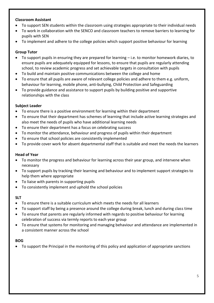#### **Classroom Assistant**

- To support SEN students within the classroom using strategies appropriate to their individual needs
- To work in collaboration with the SENCO and classroom teachers to remove barriers to learning for pupils with SEN
- To implement and adhere to the college policies which support positive behaviour for learning

#### **Group Tutor**

- To support pupils in ensuring they are prepared for learning i.e. to monitor homework diaries, to ensure pupils are adequately equipped for lessons, to ensure that pupils are regularly attending school, to review academic progress and set achievable targets in consultation with pupils
- To build and maintain positive communications between the college and home
- To ensure that all pupils are aware of relevant college policies and adhere to them e.g. uniform, behaviour for learning, mobile phone, anti-bullying, Child Protection and Safeguarding
- To provide guidance and assistance to support pupils by building positive and supportive relationships with the class

#### **Subject Leader**

- To ensure there is a positive environment for learning within their department
- To ensure that their department has schemes of learning that include active learning strategies and also meet the needs of pupils who have additional learning needs
- To ensure their department has a focus on celebrating success
- To monitor the attendance, behaviour and progress of pupils within their department
- To ensure that school policies are consistently implemented
- To provide cover work for absent departmental staff that is suitable and meet the needs the learners

#### **Head of Year**

- To monitor the progress and behaviour for learning across their year group, and intervene when necessary
- To support pupils by tracking their learning and behaviour and to implement support strategies to help them where appropriate
- To liaise with parents in supporting pupils
- To consistently implement and uphold the school policies

#### **SLT**

- To ensure there is a suitable curriculum which meets the needs for all learners
- To support staff by being a presence around the college during break, lunch and during class time
- To ensure that parents are regularly informed with regards to positive behaviour for learning celebration of success via termly reports to each year group
- To ensure that systems for monitoring and managing behaviour and attendance are implemented in a consistent manner across the school

#### **BOG**

To support the Principal in the monitoring of this policy and application of appropriate sanctions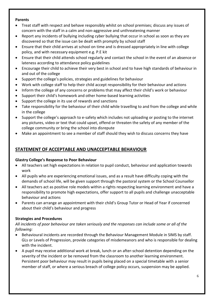#### **Parents**

- Treat staff with respect and behave responsibly whilst on school premises; discuss any issues of concern with the staff in a calm and non-aggressive and unthreatening manner
- Report any incidents of bullying including cyber bullying that occur in school as soon as they are discovered so that the issue can be dealt with promptly by school staff
- Ensure that their child arrives at school on time and is dressed appropriately in line with college policy, and with necessary equipment e.g. P.E kit
- Ensure that their child attends school regularly and contact the school in the event of an absence or lateness according to attendance policy guidelines
- Encourage their child to achieve their very best in school and to have high standards of behaviour in and out of the college
- Support the college's policies, strategies and guidelines for behaviour
- Work with college staff to help their child accept responsibility for their behaviour and actions
- Inform the college of any concerns or problems that may affect their child's work or behaviour
- Support their child's homework and other home-based learning activities
- Support the college in its use of rewards and sanctions
- Take responsibility for the behaviour of their child while travelling to and from the college and while in the college
- Support the college's approach to e-safety which includes not uploading or posting to the internet any pictures, video or text that could upset, offend or threaten the safety of any member of the college community or bring the school into disrepute
- Make an appointment to see a member of staff should they wish to discuss concerns they have

## **STATEMENT OF ACCEPTABLE AND UNACCEPTABLE BEHAVIOUR**

#### **Glastry College's Response to Poor Behaviour**

- All teachers set high expectations in relation to pupil conduct, behaviour and application towards work
- All pupils who are experiencing emotional issues, and as a result have difficulty coping with the demands of school life, will be given support through the pastoral system or the School Counsellor
- All teachers act as positive role models within a rights respecting learning environment and have a responsibility to promote high expectations, offer support to all pupils and challenge unacceptable behaviour and actions
- Parents can arrange an appointment with their child's Group Tutor or Head of Year if concerned about their child's behaviour and progress

#### **Strategies and Procedures**

*All incidents of poor behaviour are taken seriously and the responses can include some or all of the following:*

- Behavioural incidents are recorded through the Behaviour Management Module in SIMS by staff. GLs or Levels of Progression, provide categories of misdemeanors and who is responsible for dealing with the incident.
- A pupil may receive additional work at break, lunch or an after-school detention depending on the severity of the incident or be removed from the classroom to another learning environment. Persistent poor behaviour may result in pupils being placed on a special timetable with a senior member of staff, or where a serious breach of college policy occurs, suspension may be applied.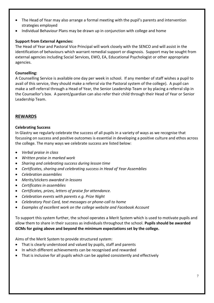- The Head of Year may also arrange a formal meeting with the pupil's parents and intervention strategies employed
- Individual Behaviour Plans may be drawn up in conjunction with college and home

#### **Support from External Agencies:**

The Head of Year and Pastoral Vice Principal will work closely with the SENCO and will assist in the identification of behaviours which warrant remedial support or diagnosis. Support may be sought from external agencies including Social Services, EWO, EA, Educational Psychologist or other appropriate agencies.

#### **Counselling:**

A Counselling Service is available one day per week in school. If any member of staff wishes a pupil to avail of this service, they should make a referral via the Pastoral system of the college). A pupil can make a self-referral through a Head of Year, the Senior Leadership Team or by placing a referral slip in the Counsellor's box. A parent/guardian can also refer their child through their Head of Year or Senior Leadership Team.

#### **REWARDS**

#### **Celebrating Success**

In Glastry we regularly celebrate the success of all pupils in a variety of ways as we recognise that focussing on success and positive outcomes is essential in developing a positive culture and ethos across the college. The many ways we celebrate success are listed below:

- *Verbal praise in class*
- *Written praise in marked work*
- *Sharing and celebrating success during lesson time*
- *Certificates, sharing and celebrating success in Head of Year Assemblies*
- *Celebration assemblies*
- *Merits/stickers awarded in lessons*
- *Certificates in assemblies*
- *Certificates, prizes, letters of praise for attendance.*
- *Celebration events with parents e.g. Prize Night*
- *Celebratory Post Card, text messages or phone-call to home*
- *Examples of excellent work on the college website and Facebook Account*

To support this system further, the school operates a Merit System which is used to motivate pupils and allow them to share in their success as individuals throughout the school. **Pupils should be awarded GCMs for going above and beyond the minimum expectations set by the college.**

Aims of the Merit System to provide structured system:

- That is clearly understood and valued by pupils, staff and parents
- In which different achievements can be recognised and rewarded
- That is inclusive for all pupils which can be applied consistently and effectively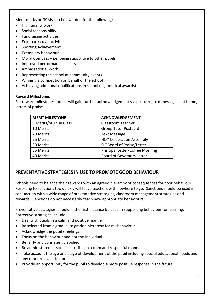Merit marks or GCMs can be awarded for the following:

- High quality work
- Social responsibility
- Fundraising activities
- Extra-curricular activities
- Sporting Achievement
- Exemplary behaviour
- Moral Compass i.e. being supportive to other pupils
- Improved performance in class
- Ambassadorial Work
- Representing the school at community events
- Winning a competition on behalf of the school
- Achieving additional qualifications in school (e.g. musical awards)

#### **Reward Milestones**

For reward milestones, pupils will gain further acknowledgement via postcard, text message sent home, letters of praise.

| <b>MERIT MILESTONE</b>               | <b>ACKNOWLEDGEMENT</b>           |
|--------------------------------------|----------------------------------|
| 5 Merits/or 1 <sup>st</sup> in Class | <b>Classroom Teacher</b>         |
| 10 Merits                            | <b>Group Tutor Postcard</b>      |
| 20 Merits                            | <b>Text Message</b>              |
| 25 Merits                            | <b>HOY Celebration Assembly</b>  |
| 30 Merits                            | SLT Word of Praise/Letter        |
| 35 Merits                            | Principal Letter/Coffee Morning  |
| 40 Merits                            | <b>Board of Governors Letter</b> |

#### **PREVENTATIVE STRATEGIES IN USE TO PROMOTE GOOD BEHAVIOUR**

Schools need to balance their rewards with an agreed hierarchy of consequences for poor behaviour. Resorting to sanctions too quickly will leave teachers with nowhere to go. Sanctions should be used in conjunction with a wide range of preventative strategies, classroom management strategies and rewards. Sanctions do not necessarily teach new appropriate behaviours.

Preventative strategies, should in the first instance be used in supporting behaviour for learning. Corrective strategies include:

- Deal with pupils in a calm and positive manner
- Be selected from a gradual to graded hierarchy for misbehaviour
- Acknowledge the pupil's feelings
- Focus on the behaviour and not the individual
- Be fairly and consistently applied
- Be administered as soon as possible in a calm and respectful manner
- Take account the age and stage of development of the pupil including special educational needs and any other relevant factors
- Provide an opportunity for the pupil to develop a more positive response in the future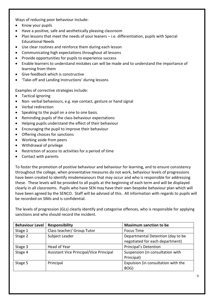Ways of reducing poor behaviour include:

- Know your pupils
- Have a positive, safe and aesthetically pleasing classroom
- Plan lessons that meet the needs of your leaners i.e. differentiation, pupils with Special Educational Needs
- Use clear routines and reinforce them during each lesson
- Communicating high expectations throughout all lessons
- Provide opportunities for pupils to experience success
- Enable learners to understand mistakes can will be made and to understand the importance of learning from them
- Give feedback which is constructive
- 'Take-off and Landing Instructions' during lessons

Examples of corrective strategies include:

- Tactical ignoring
- Non- verbal behaviours, e.g. eye contact, gesture or hand signal
- Verbal redirection
- Speaking to the pupil on a one to one basis.
- Reminding pupils of the class behaviour expectations
- Helping pupils understand the effect of their behaviour
- Encouraging the pupil to improve their behaviour
- Offering choices for sanctions
- Working aside from peers
- Withdrawal of privilege
- Restriction of access to activities for a period of time
- Contact with parents

To foster the promotion of positive behaviour and behaviour for learning, and to ensure consistency throughout the college, when preventative measures do not work, behaviour levels of progressions have been created to identify misdemeanours that may occur and who is responsible for addressing these. These levels will be provided to all pupils at the beginning of each term and will be displayed clearly in all classrooms. Pupils who have SEN may have their own bespoke behaviour plan which will have been agreed by the SENCO. Staff will be advised of this. All information with regards to pupils will be recorded on SIMs and is confidential.

The levels of progression (GLs) clearly identify and categorise offences, who is responsible for applying sanctions and who should record the incident.

| <b>Behaviour Level</b> | Responsibility                          | <b>Maximum sanction to be</b>       |  |
|------------------------|-----------------------------------------|-------------------------------------|--|
| Stage 1                | Class teacher/ Group Tutor              | <b>Focus Time</b>                   |  |
| Stage 2                | Subject Leader                          | Departmental Detention (day to be   |  |
|                        |                                         | negotiated for each department)     |  |
| Stage 3                | Head of Year                            | Principal's Detention               |  |
| Stage 4                | Assistant Vice Principal/Vice Principal | Suspension (in consultation with    |  |
|                        |                                         | Principal)                          |  |
| Stage 5                | Principal                               | Expulsion (in consultation with the |  |
|                        |                                         | BOG)                                |  |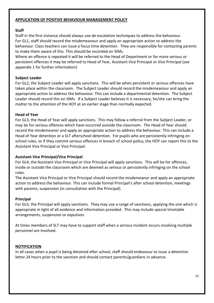#### **APPLICATION OF POSITIVE BEHAVIOUR MANAGEMENT POLICY**

#### **Staff**

Staff in the first instance should always use de-escalation techniques to address the behaviour. For GL1, staff should record the misdemeanour and apply an appropriate action to address the behaviour. Class teachers can issue a focus time detention. They are responsible for contacting parents to make them aware of this. This should be recorded on SIMs.

Where an offence is repeated it will be referred to the Head of Department or for more serious or persistent offences it may be referred to Head of Year, Assistant Vice Principal or Vice Principal (see appendix 1 for further information)

#### **Subject Leader**

For GL2, the Subject Leader will apply sanctions. This will be when persistent or serious offences have taken place within the classroom. The Subject Leader should record the misdemeanour and apply an appropriate action to address the behaviour. This can include a departmental detention. The Subject Leader should record this on SIMs. If a Subject Leader believes it is necessary, he/she can bring the matter to the attention of the HOY at an earlier stage than normally expected.

#### **Head of Year**

For GL3, the Head of Year will apply sanctions. This may follow a referral from the Subject Leader, or may be for serious offences which have occurred outside the classroom. The Head of Year should record the misdemeanor and apply an appropriate action to address the behaviour. This can include a Head of Year detention or a SLT afterschool detention. For pupils who are persistently infringing on school rules, or if they commit serious offences in breach of school policy, the HOY can report this to the Assistant Vice Principal or Vice Principal.

#### **Assistant Vice Principal/Vice Principal**

For GL4, the Assistant Vice Principal or Vice Principal will apply sanctions. This will be for offences, inside or outside the classroom which are deemed as serious or persistently infringing on the school rules.

The Assistant Vice Principal or Vice Principal should record the misdemeanor and apply an appropriate action to address the behaviour. This can include formal Principal's after school detention, meetings with parents, suspension (in consultation with the Principal).

#### **Principal**

For GL5, the Principal will apply sanctions. They may use a range of sanctions, applying the one which is appropriate in light of all evidence and information provided. This may include special timetable arrangements, suspension or expulsion.

At times members of SLT may have to support staff when a serious incident occurs involving multiple personnel are involved.

#### **NOTIFICATION**

In all cases when a pupil is being detained after school, staff should endeavour to issue a detention letter 24 hours prior to the sanction and should contact parents/guardians in advance.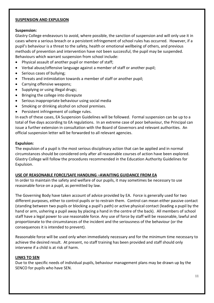#### **SUSPENSION AND EXPULSION**

#### **Suspension:**

Glastry College endeavours to avoid, where possible, the sanction of suspension and will only use it in cases where a serious breach or a persistent infringement of school rules has occurred. However, if a pupil's behaviour is a threat to the safety, health or emotional wellbeing of others, and previous methods of prevention and intervention have not been successful, the pupil may be suspended. Behaviours which warrant suspension from school include:

- Physical assault of another pupil or member of staff;
- Verbal abuse/offensive language against a member of staff or another pupil;
- Serious cases of bullying;
- Threats and intimidation towards a member of staff or another pupil;
- Carrying offensive weapons;
- Supplying or using illegal drugs;
- Bringing the college into disrepute
- Serious inappropriate behaviour using social media
- Smoking or drinking alcohol on school premises.
- Persistent infringement of college rules.

In each of these cases, EA Suspension Guidelines will be followed. Formal suspension can be up to a total of five days according to EA regulations. In an extreme case of poor behaviour, the Principal can issue a further extension in consultation with the Board of Governors and relevant authorities. An official suspension letter will be forwarded to all relevant agencies.

#### **Expulsion:**

The expulsion of a pupil is the most serious disciplinary action that can be applied and in normal circumstances should be considered only after all reasonable courses of action have been explored. Glastry College will follow the procedures recommended in the Education Authority Guidelines for Expulsion.

#### **USE OF REASONABLE FORCE/SAFE HANDLING –AWAITING GUIDANCE FROM EA**

In order to maintain the safety and welfare of our pupils, it may sometimes be necessary to use reasonable force on a pupil, as permitted by law.

The Governing Body have taken account of advice provided by EA. Force is generally used for two different purposes, either to control pupils or to restrain them. Control can mean either passive contact (standing between two pupils or blocking a pupil's path) or active physical contact (leading a pupil by the hand or arm, ushering a pupil away by placing a hand in the centre of the back). All members of school staff have a legal power to use reasonable force. Any use of force by staff will be reasonable, lawful and proportionate to the circumstances of the incident and the seriousness of the behaviour (or the consequences it is intended to prevent).

Reasonable force will be used only when immediately necessary and for the minimum time necessary to achieve the desired result. At present, no staff training has been provided and staff should only intervene if a child is at risk of harm.

#### **LINKS TO SEN**

Due to the specific needs of individual pupils, behaviour management plans may be drawn up by the SENCO for pupils who have SEN.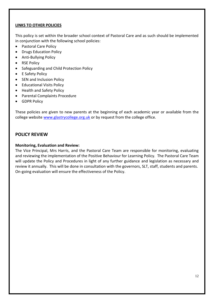#### **LINKS TO OTHER POLICIES**

This policy is set within the broader school context of Pastoral Care and as such should be implemented in conjunction with the following school policies:

- Pastoral Care Policy
- Drugs Education Policy
- Anti-Bullying Policy
- RSE Policy
- Safeguarding and Child Protection Policy
- E Safety Policy
- SEN and Inclusion Policy
- Educational Visits Policy
- Health and Safety Policy
- Parental Complaints Procedure
- **•** GDPR Policy

These policies are given to new parents at the beginning of each academic year or available from the college website [www.glastrycollege.org.uk](http://www.glastrycollege.org.uk/) or by request from the college office.

#### **POLICY REVIEW**

#### **Monitoring, Evaluation and Review:**

The Vice Principal, Mrs Harris, and the Pastoral Care Team are responsible for monitoring, evaluating and reviewing the implementation of the Positive Behaviour for Learning Policy. The Pastoral Care Team will update the Policy and Procedures in light of any further guidance and legislation as necessary and review it annually. This will be done in consultation with the governors, SLT, staff, students and parents. On-going evaluation will ensure the effectiveness of the Policy.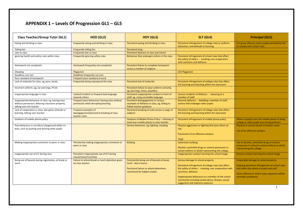## **APPENDIX 1 – Levels Of Progression GL1 – GL5**

| <b>Class Teacher/Group Tutor (GL1)</b>                                                                                              | HOD (GL2)                                                                             | HOY (GL3)                                                                                                                                      | <b>SLT (GL4)</b>                                                                                                                                                                                                                                                                     | <b>Principal (GL5)</b>                                                                                                                                                                                             |
|-------------------------------------------------------------------------------------------------------------------------------------|---------------------------------------------------------------------------------------|------------------------------------------------------------------------------------------------------------------------------------------------|--------------------------------------------------------------------------------------------------------------------------------------------------------------------------------------------------------------------------------------------------------------------------------------|--------------------------------------------------------------------------------------------------------------------------------------------------------------------------------------------------------------------|
| Eating and drinking in class                                                                                                        | Frequently eating and drinking in class                                               | Persistent eating and drinking in class                                                                                                        | Persistent infringement of college rules in uniform,<br>behaviour, and attitude to learning                                                                                                                                                                                          | For grave offences where pupils persistently fail<br>to comply with school rules                                                                                                                                   |
| <b>Telling lies</b>                                                                                                                 | <b>Frequently telling lies</b>                                                        | <b>Persistent lying</b>                                                                                                                        |                                                                                                                                                                                                                                                                                      |                                                                                                                                                                                                                    |
| Late to class                                                                                                                       | Frequently late to class                                                              | Persistent lateness to class and school                                                                                                        |                                                                                                                                                                                                                                                                                      |                                                                                                                                                                                                                    |
| Ignoring health and safety rules within class                                                                                       | Frequently ignoring safety rules                                                      | Behaviour that endangers others in the class                                                                                                   | Persistent infringement of school rules that affect<br>the safety of others - smoking, non-cooperation<br>with sanctions and defiance                                                                                                                                                |                                                                                                                                                                                                                    |
| Homework not completed                                                                                                              | Homework frequently not completed                                                     | Persistent failure to complete homework<br>across a number of subjects                                                                         |                                                                                                                                                                                                                                                                                      |                                                                                                                                                                                                                    |
| Cheating                                                                                                                            | Plagiarism                                                                            |                                                                                                                                                | <b>CAT Plagiarism</b>                                                                                                                                                                                                                                                                |                                                                                                                                                                                                                    |
| Deadlines not met                                                                                                                   | Deadlines frequently not met                                                          |                                                                                                                                                |                                                                                                                                                                                                                                                                                      |                                                                                                                                                                                                                    |
| Poor standard of homework                                                                                                           | Frequent poor standard of work                                                        |                                                                                                                                                |                                                                                                                                                                                                                                                                                      |                                                                                                                                                                                                                    |
| Lack of materials for class, eg, pens, books                                                                                        | Frequently being unprepared for class                                                 | Persistent lack of materials                                                                                                                   | Persistent infringement of college rules that affect<br>the learning and teaching within the classroom                                                                                                                                                                               |                                                                                                                                                                                                                    |
| Incorrect uniform, eg, ear piercings, PE kit                                                                                        |                                                                                       | Persistent failure to wear uniform correctly,<br>eg, piercings, shoes, jewellery                                                               |                                                                                                                                                                                                                                                                                      |                                                                                                                                                                                                                    |
| Inappropriate language in class                                                                                                     | Isolated incident or frequent bad language<br>towards others                          | Persistent inappropriate conduct in front of<br>staff, eg, using unsuitable language                                                           | Serious incidents of defiance - swearing at a<br>member of staff                                                                                                                                                                                                                     |                                                                                                                                                                                                                    |
| Inappropriate behaviour in class, eg, leaving class<br>without permission, defacing classroom property,<br>talking over the teacher | Frequent poor behaviour/leaving class without<br>permission while disrupting learning | Persistent disengagement or serious<br>examples of defiance in class, eg, failing to<br>follow teacher guidance                                | Extreme defiance - belittling a member of staff;<br>actions that endanger other pupils                                                                                                                                                                                               |                                                                                                                                                                                                                    |
| Lack of cooperation in class, disruptive attitude to<br>learning, talking over teacher                                              | Frequent examples of<br>disengagement/persistent breaking of class<br>teacher rules   | Persistent breaking of rules across a range of<br>subjects                                                                                     | Persistent infringement of college rules that affect<br>the learning and teaching within the classroom                                                                                                                                                                               |                                                                                                                                                                                                                    |
| Violation of mobile phone policy                                                                                                    |                                                                                       | Violation of Mobile Phone Policy - refusing to<br>hand over mobile phone to class teacher                                                      | Persistent infringement of mobile phone policy                                                                                                                                                                                                                                       | When a pupil(s) uses the mobile phone to bring<br>college or other pupils into disrepute/harm                                                                                                                      |
| Poor behaviour in corridors/ playground whilst on<br>duty, such as pushing and shoving other pupils                                 |                                                                                       | Serious behaviour, eg, fighting, smoking                                                                                                       | Physical aggression or fighting that puts others at<br>risk.<br>Possession of an offensive weapon.<br><b>Theft</b>                                                                                                                                                                   | Physical or sexual assault of another pupil.<br>Use of an offensive weapon.                                                                                                                                        |
| Making inappropriate comments to peers in class                                                                                     | Persistently making inappropriate comments to<br>peers in class                       | <b>Bullying</b>                                                                                                                                | Systematic bullying.<br>Alcohol, controlled drugs or solvent possession in<br>school uniform or whilst representing the college.                                                                                                                                                     | Use of alcohol, controlled drugs or solvent<br>possession in school in school uniform or whilst<br>representing the college                                                                                        |
| Inappropriate use of ICT during class                                                                                               | Persistent inappropriate use of ICT during<br>classed-based activities                |                                                                                                                                                | Inappropriate conduct harming the school image                                                                                                                                                                                                                                       | Serious conduct harming the school image                                                                                                                                                                           |
| Being out of bounds during registration, at break or<br>lunch                                                                       | Failure to attend break or lunch detention given<br>by class teacher                  | Persistently being out of bounds at break,<br>lunch. Also truancy.<br>Persistent failure to attend detentions<br>sanctioned by Subject Leader. | Serious damage to school property.<br>Persistent infringement of college rules that affect<br>the safety of others - smoking, non-cooperation with<br>sanctions, defiance.<br>Inappropriate behaviour to a member of the school<br>community including verbal abuse, threats, sexual | Irreparable damage to school property.<br>Ongoing persistent infringement of school rules<br>that affect the safety of pupils and staff.<br>Grave offences in which cases expulsion will be<br>normally considered |
|                                                                                                                                     |                                                                                       |                                                                                                                                                | suggestion and indecent exposure                                                                                                                                                                                                                                                     |                                                                                                                                                                                                                    |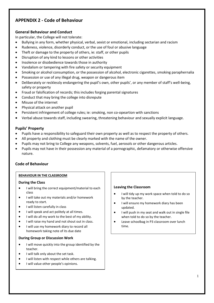## **APPENDIX 2 - Code of Behaviour**

#### **General Behaviour and Conduct**

In particular, the College will not tolerate:

- Bullying in any form, whether physical, verbal, sexist or emotional, including sectarian and racism
- Rudeness, violence, disorderly conduct, or the use of foul or abusive language
- Theft or damage to the property of others, ie: staff, or other pupils
- Disruption of any kind to lessons or other activities
- Insolence or disobedience towards those in authority
- Vandalism or tampering with fire safety or security equipment
- Smoking or alcohol consumption, or the possession of alcohol, electronic cigarettes, smoking paraphernalia
- Possession or use of any illegal drug, weapon or dangerous item
- Deliberately or recklessly endangering the pupil's own, other pupils', or any member of staff's well-being, safety or property
- Fraud or falsification of records; this includes forging parental signatures
- Conduct that may bring the college into disrepute
- Misuse of the internet
- Physical attack on another pupil
- Persistent infringement of college rules; ie: smoking, non co-opeartion with sanctions
- Verbal abuse towards staff, including swearing, threatening behaviour and sexually explicit language.

#### **Pupils' Property**

- Pupils have a responsibility to safeguard their own property as well as to respect the property of others.
- All property and clothing must be clearly marked with the name of the owner.
- Pupils may not bring to College any weapons, solvents, fuel, aerosols or other dangerous articles.
- Pupils may not have in their possession any material of a pornographic, defamatory or otherwise offensive nature.

#### **Code of Behaviour**

#### **BEHAVIOUR IN THE CLASSROOM**

#### **During the Class**

- I will bring the correct equipment/material to each class
- I will take out my materials and/or homework ready to start.
- I will listen carefully in class
- I will speak and act politely at all times.
- I will do all my work to the best of my ability.
- I will raise my hand and not shout out in class.
- I will use my homework diary to record all homework taking note of its due date

#### **During Group or Discussion Work**

- I will move quickly into the group identified by the teacher.
- I will talk only about the set task.
- I will listen with respect while others are talking.
- I will value other people's opinions.

#### **Leaving the Classroom**

- I will tidy up my work space when told to do so by the teacher.
- I will ensure my homework diary has been updated.
- I will push in my seat and walk out in single file when told to do so by the teacher.
- Leave schoolbag in P3 classroom over lunch time.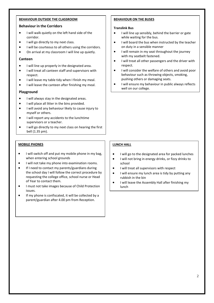#### **BEHAVIOUR OUTSIDE THE CLASSROOM**

#### **Behaviour in the Corridors**

- I will walk quietly on the left hand side of the corridor.
- I will go directly to my next class.
- I will be courteous to all others using the corridors.
- On arrival at my classroom I will line up quietly.

#### **Canteen**

- I will line up properly in the designated area.
- I will treat all canteen staff and supervisors with respect.
- I will leave my table tidy when I finish my meal.
- I will leave the canteen after finishing my meal.

#### **Playground**

- I will always stay in the designated areas.
- I will place all litter in the bins provided.
- I will avoid any behaviour likely to cause injury to myself or others.
- I will report any accidents to the lunchtime supervisors or a teacher.
- I will go directly to my next class on hearing the first bell (1.35 pm).

#### **MOBILE PHONES**

- I will switch off and put my mobile phone in my bag, when entering school grounds
- $\bullet$  I will not take my phone into examination rooms.
- **•** If I need to contact my parents/guardians during the school day I will follow the correct procedure by requesting the college office, school nurse or Head of Year to contact them.
- **I must not take images because of Child Protection** issues.
- **•** If my phone is confiscated, it will be collected by a parent/guardian after 4.00 pm from Reception.

#### **BEHAVIOUR ON THE BUSES**

#### **Translink Bus**

- I will line up sensibly, behind the barrier or gate while waiting for the bus.
- I will board the bus when instructed by the teacher on duty in a sensible manner
- I will remain in my seat throughout the journey with my seatbelt fastened.
- I will treat all other passengers and the driver with respect.
- I will consider the welfare of others and avoid poor behaviour such as throwing objects, smoking, pushing others or damaging seats.
- I will ensure my behaviour in public always reflects well on our college.

#### **LUNCH HALL**

- $\bullet$  I will go to the designated area for packed lunches
- $\bullet$  I will not bring in energy drinks, or fizzy drinks to school
- $\bullet$  I will treat all supervisors with respect
- I will ensure my lunch area is tidy by putting any rubbish in the bin
- I will leave the Assembly Hall after finishing my lunch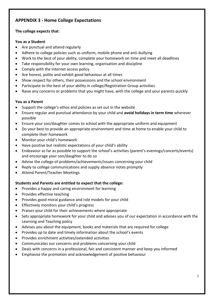## **APPENDIX 3 - Home College Expectations**

#### **The college expects that**:

#### **You as a Student**

- Are punctual and attend regularly
- Adhere to college policies such as uniform, mobile phone and anti-bullying
- Work to the best of your ability, complete your homework on time and meet all deadlines
- Take responsibility for your own learning, organisation and discipline
- Comply with the Internet access policy
- Are honest, polite and exhibit good behaviour at all times
- Show respect for others, their possessions and the school environment
- Participate to the best of your ability in college/Registration Group activities
- Raise any concerns or problems that you might have, with the college and your parents quickly

#### **You as a Parent**

- Support the college's ethos and policies as set out in the website
- Ensure regular and punctual attendance by your child and **avoid holidays in term time** wherever possible
- Ensure your son/daughter comes to school with the appropriate uniform and equipment
- Do your best to provide an appropriate environment and time at home to enable your child to complete their homework
- Monitor your child's homework
- Have positive but realistic expectations of your child's ability
- Endeavour as far as possible to support the school's activities (parent's evenings/concerts/events) and encourage your son/daughter to do so
- Advise the college of problems/achievements/issues concerning your child
- Reply to college communications and supply absence notes promptly
- Attend Parent/Teacher Meetings

#### **Students and Parents are entitled to expect that the college:**

- Provides a happy and caring environment for learning
- Provides effective teaching
- Provides good moral guidance and role models for your child
- **•** Effectively monitors your child's progress
- Praises your child for their achievements where appropriate
- Sets appropriate homework for your child and advises you of our expectation in accordance with the Learning and Teaching policy
- Advises you about the equipment, books and materials that are required for college
- Provides up to date and timely information about the school's events
- Provides enrichment activities/extended activities
- Communicates our concerns and problems concerning your child
- Deals with concerns in a professional, fair and consistent manner and keep you informed
- Emphasise the promotion and acknowledgement of positive behaviour